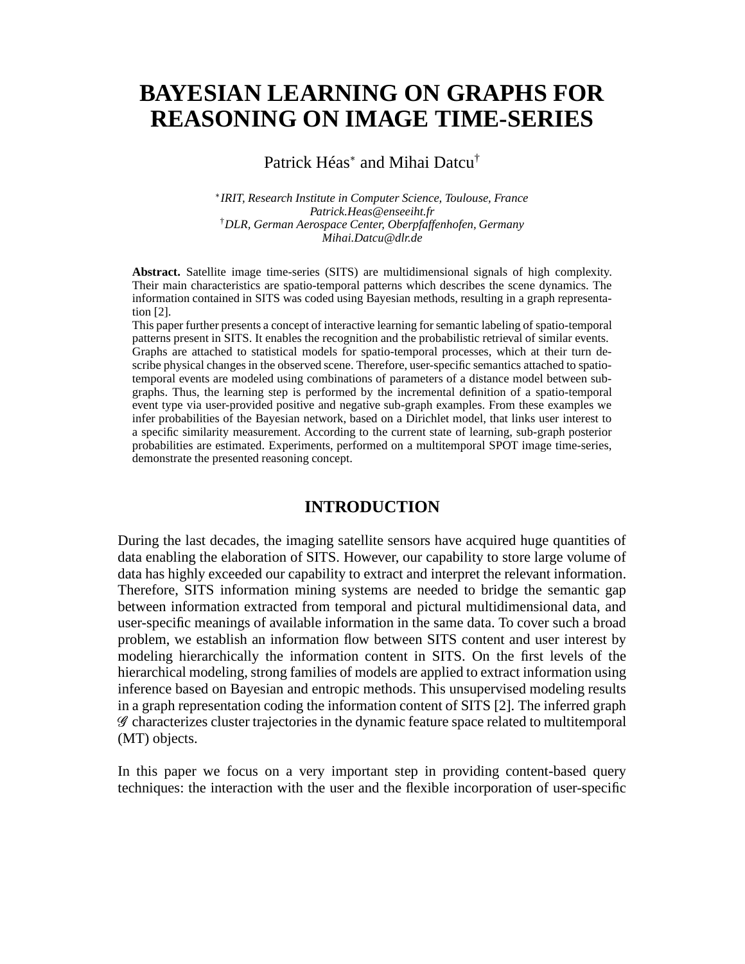# **BAYESIAN LEARNING ON GRAPHS FOR REASONING ON IMAGE TIME-SERIES**

Patrick Héas<sup>\*</sup> and Mihai Datcu<sup>†</sup>

 *IRIT, Research Institute in Computer Science, Toulouse, France Patrick.Heas@enseeiht.fr* †*DLR, German Aerospace Center, Oberpfaffenhofen, Germany Mihai.Datcu@dlr.de*

**Abstract.** Satellite image time-series (SITS) are multidimensional signals of high complexity. Their main characteristics are spatio-temporal patterns which describes the scene dynamics. The information contained in SITS was coded using Bayesian methods, resulting in a graph representation [2].

This paper further presents a concept of interactive learning for semantic labeling of spatio-temporal patterns present in SITS. It enables the recognition and the probabilistic retrieval of similar events. Graphs are attached to statistical models for spatio-temporal processes, which at their turn describe physical changes in the observed scene. Therefore, user-specific semantics attached to spatiotemporal events are modeled using combinations of parameters of a distance model between subgraphs. Thus, the learning step is performed by the incremental definition of a spatio-temporal event type via user-provided positive and negative sub-graph examples. From these examples we infer probabilities of the Bayesian network, based on a Dirichlet model, that links user interest to a specific similarity measurement. According to the current state of learning, sub-graph posterior probabilities are estimated. Experiments, performed on a multitemporal SPOT image time-series, demonstrate the presented reasoning concept.

## **INTRODUCTION**

During the last decades, the imaging satellite sensors have acquired huge quantities of data enabling the elaboration of SITS. However, our capability to store large volume of data has highly exceeded our capability to extract and interpret the relevant information. Therefore, SITS information mining systems are needed to bridge the semantic gap between information extracted from temporal and pictural multidimensional data, and user-specific meanings of available information in the same data. To cover such a broad problem, we establish an information flow between SITS content and user interest by modeling hierarchically the information content in SITS. On the first levels of the hierarchical modeling, strong families of models are applied to extract information using inference based on Bayesian and entropic methods. This unsupervised modeling results in a graph representation coding the information content of SITS [2]. The inferred graph - characterizes cluster trajectories in the dynamic feature space related to multitemporal (MT) objects.

In this paper we focus on a very important step in providing content-based query techniques: the interaction with the user and the flexible incorporation of user-specific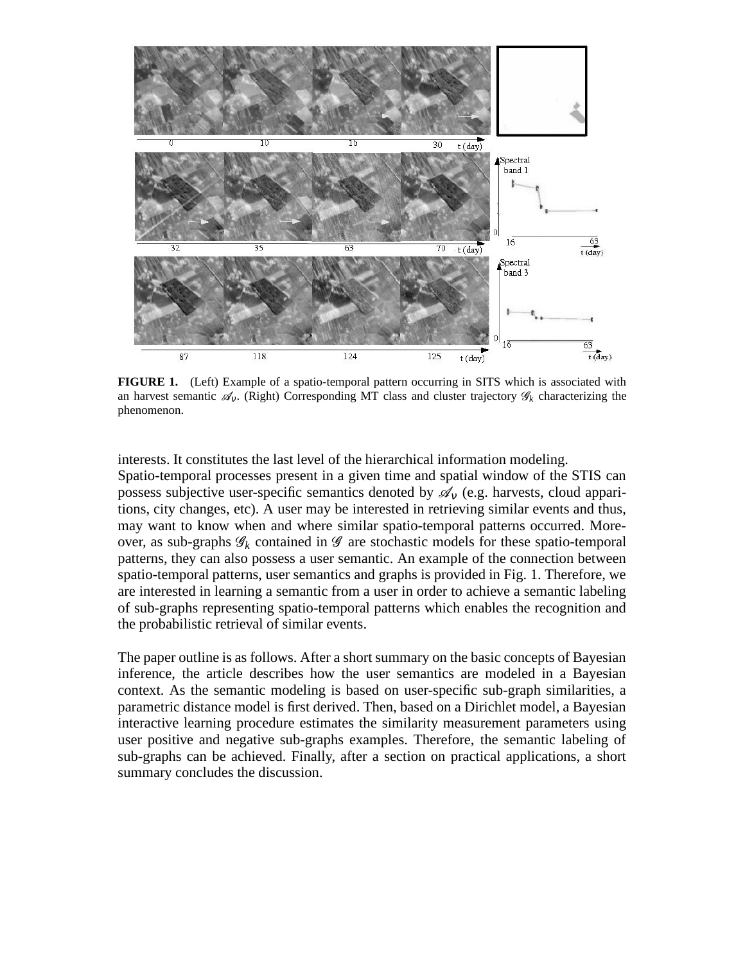

**FIGURE 1.** (Left) Example of a spatio-temporal pattern occurring in SITS which is associated with an harvest semantic  $\mathscr{A}_V$ . (Right) Corresponding MT class and cluster trajectory  $\mathscr{G}_k$  characterizing the phenomenon.

interests. It constitutes the last level of the hierarchical information modeling. Spatio-temporal processes present in a given time and spatial window of the STIS can possess subjective user-specific semantics denoted by  $\mathscr{A}_{v}$  (e.g. harvests, cloud apparitions, city changes, etc). A user may be interested in retrieving similar events and thus, may want to know when and where similar spatio-temporal patterns occurred. Moreover, as sub-graphs  $\mathscr{G}_k$  contained in  $\mathscr{G}$  are stochastic models for these spatio-temporal patterns, they can also possess a user semantic. An example of the connection between spatio-temporal patterns, user semantics and graphs is provided in Fig. 1. Therefore, we are interested in learning a semantic from a user in order to achieve a semantic labeling of sub-graphs representing spatio-temporal patterns which enables the recognition and the probabilistic retrieval of similar events.

The paper outline is as follows. After a short summary on the basic concepts of Bayesian inference, the article describes how the user semantics are modeled in a Bayesian context. As the semantic modeling is based on user-specific sub-graph similarities, a parametric distance model is first derived. Then, based on a Dirichlet model, a Bayesian interactive learning procedure estimates the similarity measurement parameters using user positive and negative sub-graphs examples. Therefore, the semantic labeling of sub-graphs can be achieved. Finally, after a section on practical applications, a short summary concludes the discussion.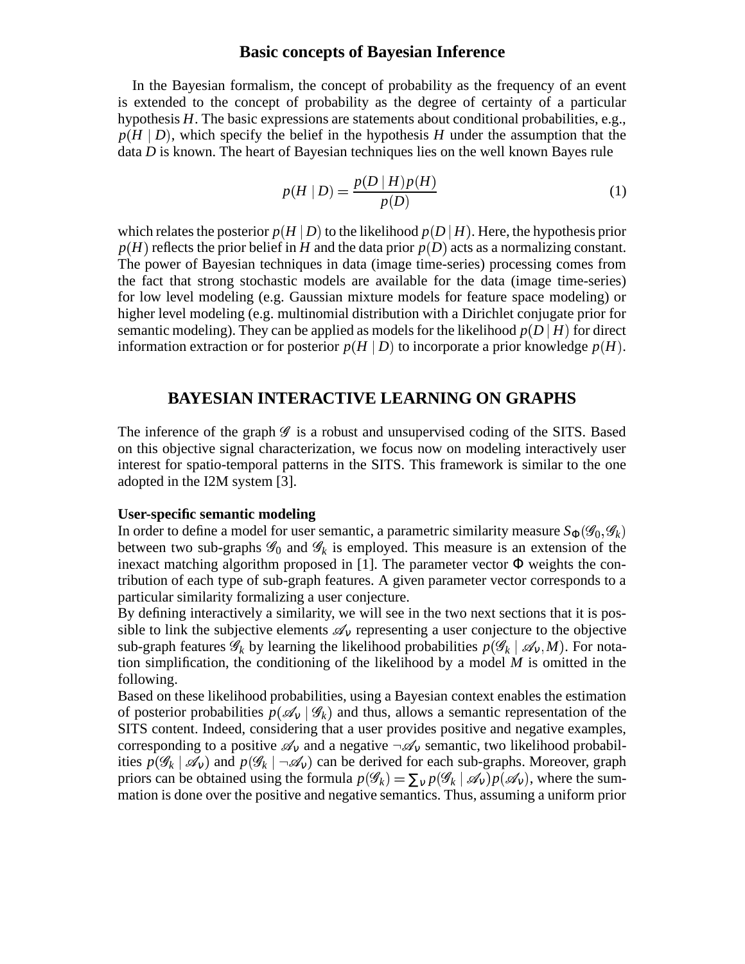## **Basic concepts of Bayesian Inference**

In the Bayesian formalism, the concept of probability as the frequency of an event is extended to the concept of probability as the degree of certainty of a particular hypothesis *H*. The basic expressions are statements about conditional probabilities, e.g.,  $p(H | D)$ , which specify the belief in the hypothesis *H* under the assumption that the data *D* is known. The heart of Bayesian techniques lies on the well known Bayes rule

$$
p(H \mid D) = \frac{p(D \mid H)p(H)}{p(D)}\tag{1}
$$

which relates the posterior  $p(H \,|\, D)$  to the likelihood  $p(D \,|\, H)$ . Here, the hypothesis prior  $p(H)$  reflects the prior belief in *H* and the data prior  $p(D)$  acts as a normalizing constant. The power of Bayesian techniques in data (image time-series) processing comes from the fact that strong stochastic models are available for the data (image time-series) for low level modeling (e.g. Gaussian mixture models for feature space modeling) or higher level modeling (e.g. multinomial distribution with a Dirichlet conjugate prior for semantic modeling). They can be applied as models for the likelihood  $p(D|H)$  for direct information extraction or for posterior  $p(H \mid D)$  to incorporate a prior knowledge  $p(H)$ .

## **BAYESIAN INTERACTIVE LEARNING ON GRAPHS**

The inference of the graph  $\mathscr G$  is a robust and unsupervised coding of the SITS. Based on this objective signal characterization, we focus now on modeling interactively user interest for spatio-temporal patterns in the SITS. This framework is similar to the one adopted in the I2M system [3].

#### **User-specific semantic modeling**

In order to define a model for user semantic, a parametric similarity measure  $S_{\Phi}(\mathscr{G}_{0}, \mathscr{G}_{k})$ between two sub-graphs  $\mathscr{G}_0$  and  $\mathscr{G}_k$  is employed. This measure is an extension of the inexact matching algorithm proposed in [1]. The parameter vector  $\Phi$  weights the contribution of each type of sub-graph features. A given parameter vector corresponds to a particular similarity formalizing a user conjecture.

By defining interactively a similarity, we will see in the two next sections that it is possible to link the subjective elements  $\mathscr{A}_v$  representing a user conjecture to the objective  $\sup$ -graph features  $\mathscr{G}_k$  by learning the likelihood probabilities  $p(\mathscr{G}_k \mid \mathscr{A}_v, M)$ . For notation simplification, the conditioning of the likelihood by a model *M* is omitted in the following.

Based on these likelihood probabilities, using a Bayesian context enables the estimation of posterior probabilities  $p(\mathscr{A}_v | \mathscr{G}_k)$  and thus, allows a semantic representation of the SITS content. Indeed, considering that a user provides positive and negative examples, corresponding to a positive  $\mathscr{A}_v$  and a negative  $\neg \mathscr{A}_v$  semantic, two likelihood probabilities  $p(\mathscr{G}_k | \mathscr{A}_v)$  and  $p(\mathscr{G}_k | \neg \mathscr{A}_v)$  can be derived for each sub-graphs. Moreover, graph priors can be obtained using the formula  $p(\mathscr{G}_k) = \sum_{v} p(\mathscr{G}_k | \mathscr{A}_v) p(\mathscr{A}_v)$ , where the summation is done over the positive and negative semantics. Thus, assuming a uniform prior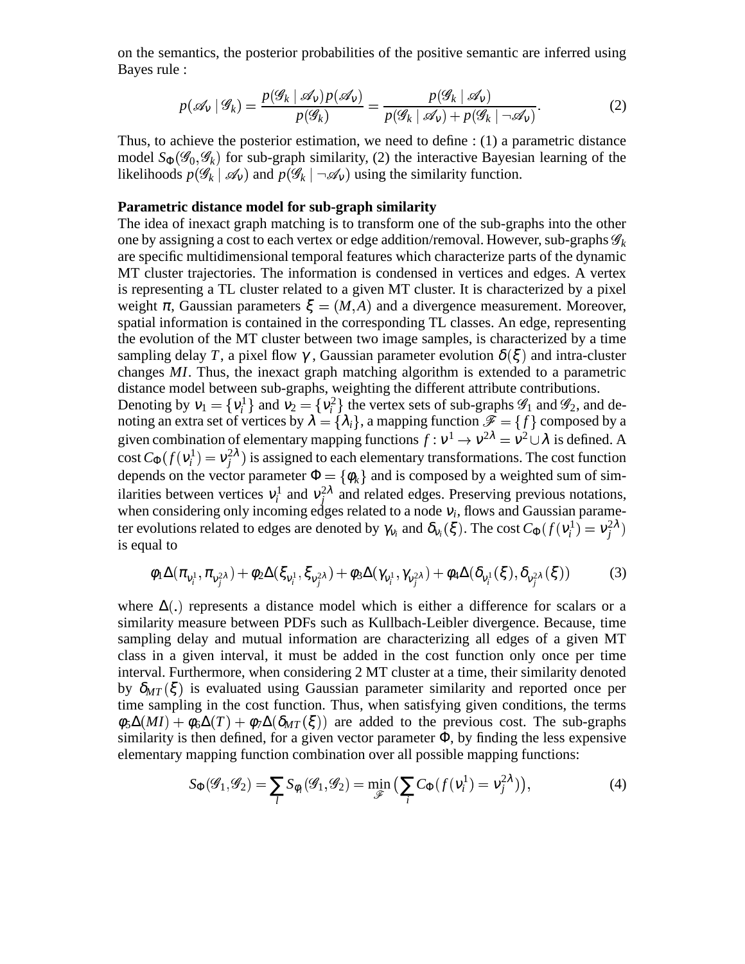on the semantics, the posterior probabilities of the positive semantic are inferred using Bayes rule :

$$
p(\mathscr{A}_V | \mathscr{G}_k) = \frac{p(\mathscr{G}_k | \mathscr{A}_V) p(\mathscr{A}_V)}{p(\mathscr{G}_k)} = \frac{p(\mathscr{G}_k | \mathscr{A}_V)}{p(\mathscr{G}_k | \mathscr{A}_V) + p(\mathscr{G}_k | \neg \mathscr{A}_V)}.
$$
(2)

Thus, to achieve the posterior estimation, we need to define : (1) a parametric distance model  $S_{\Phi}(\mathscr{G}_0, \mathscr{G}_k)$  for sub-graph similarity, (2) the interactive Bayesian learning of the likelihoods  $p(\mathscr{G}_k | \mathscr{A}_v)$  and  $p(\mathscr{G}_k | \neg \mathscr{A}_v)$  using the similarity function.

#### **Parametric distance model for sub-graph similarity**

The idea of inexact graph matching is to transform one of the sub-graphs into the other one by assigning a cost to each vertex or edge addition/removal. However, sub-graphs  $\mathscr{G}_k$ are specific multidimensional temporal features which characterize parts of the dynamic MT cluster trajectories. The information is condensed in vertices and edges. A vertex is representing a TL cluster related to a given MT cluster. It is characterized by a pixel weight  $\pi$ , Gaussian parameters  $\xi = (M, A)$  and a divergence measurement. Moreover, spatial information is contained in the corresponding TL classes. An edge, representing the evolution of the MT cluster between two image samples, is characterized by a time sampling delay T, a pixel flow  $\gamma$ , Gaussian parameter evolution  $\delta(\xi)$  and intra-cluster changes *MI*. Thus, the inexact graph matching algorithm is extended to a parametric distance model between sub-graphs, weighting the different attribute contributions.

Denoting by  $v_1 = \{v_i^1\}$  and  $v_2 = \{v_i^2\}$  the vertex sets of sub-graphs  $\mathscr{G}_1$  and  $\mathscr{G}_2$ , and denoting an extra set of vertices by  $\lambda = \{\lambda_i\}$ , a mapping function  $\mathscr{F} = \{f\}$  composed by a given combination of elementary mapping functions  $f : v^1 \to v^{2\lambda} = v^2 \cup \lambda$  is defined. A cost  $C_{\Phi}(f(v_i^1) = v_j^2 \lambda)$  is assigned to each elementary transformations. The cost function depends on the vector parameter  $\Phi = {\phi_k}$  and is composed by a weighted sum of similarities between vertices  $v_i^1$  and  $v_j^{2\lambda}$  and related edges. Preserving previous notations, when considering only incoming edges related to a node  $v_i$ , flows and Gaussian parameter evolutions related to edges are denoted by  $\gamma_{v_i}$  and  $\delta_{v_i}(\xi)$ . The cost  $C_{\Phi}(f(v_i^1) = v_j^{2\lambda})$ is equal to

$$
\phi_1 \Delta(\pi_{v_i^1}, \pi_{v_j^2 \lambda}) + \phi_2 \Delta(\xi_{v_i^1}, \xi_{v_j^2 \lambda}) + \phi_3 \Delta(\gamma_{v_i^1}, \gamma_{v_j^2 \lambda}) + \phi_4 \Delta(\delta_{v_i^1}(\xi), \delta_{v_j^2 \lambda}(\xi))
$$
(3)

where  $\Delta(.)$  represents a distance model which is either a difference for scalars or a similarity measure between PDFs such as Kullbach-Leibler divergence. Because, time sampling delay and mutual information are characterizing all edges of a given MT class in a given interval, it must be added in the cost function only once per time interval. Furthermore, when considering 2 MT cluster at a time, their similarity denoted by  $\delta_{MT}(\xi)$  is evaluated using Gaussian parameter similarity and reported once per time sampling in the cost function. Thus, when satisfying given conditions, the terms  $\phi_5\Delta(MI) + \phi_6\Delta(T) + \phi_7\Delta(\delta_{MT}(\xi))$  are added to the previous cost. The sub-graphs similarity is then defined, for a given vector parameter  $\Phi$ , by finding the less expensive elementary mapping function combination over all possible mapping functions:

$$
S_{\Phi}(\mathcal{G}_1, \mathcal{G}_2) = \sum_l S_{\phi_l}(\mathcal{G}_1, \mathcal{G}_2) = \min_{\mathcal{F}} \left( \sum_l C_{\Phi}(f(\mathbf{v}_i^1) = \mathbf{v}_j^{2\lambda}) \right),\tag{4}
$$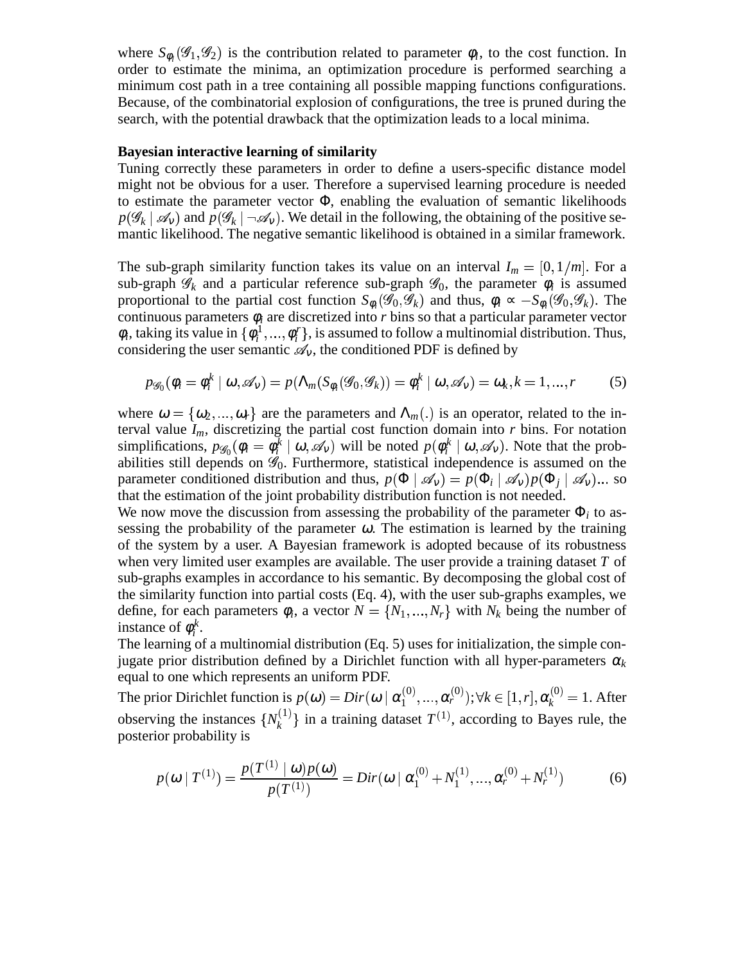where  $S_{\phi_l}(\mathcal{G}_1, \mathcal{G}_2)$  is the contribution related to parameter  $\phi_l$ , to the cost function. In order to estimate the minima, an optimization procedure is performed searching a minimum cost path in a tree containing all possible mapping functions configurations. Because, of the combinatorial explosion of configurations, the tree is pruned during the search, with the potential drawback that the optimization leads to a local minima.

#### **Bayesian interactive learning of similarity**

Tuning correctly these parameters in order to define a users-specific distance model might not be obvious for a user. Therefore a supervised learning procedure is needed to estimate the parameter vector  $\Phi$ , enabling the evaluation of semantic likelihoods  $p(\mathscr{G}_k \mid \mathscr{A}_v)$  and  $p(\mathscr{G}_k \mid \neg \mathscr{A}_v)$ . We detail in the following, the obtaining of the positive semantic likelihood. The negative semantic likelihood is obtained in a similar framework.

The sub-graph similarity function takes its value on an interval  $I_m = [0, 1/m]$ . For a sub-graph  $\mathscr{G}_k$  and a particular reference sub-graph  $\mathscr{G}_0$ , the parameter  $\phi_i$  is assumed proportional to the partial cost function  $S_{\phi_i}(\mathscr{G}_0, \mathscr{G}_k)$  and thus,  $\phi_i \propto -S_{\phi_i}(\mathscr{G}_0, \mathscr{G}_k)$ . The continuous parameters φ*<sup>i</sup>* are discretized into *r* bins so that a particular parameter vector  $\phi_i$ , taking its value in  $\{\phi_i^1, ..., \phi_i^r\}$ , is assumed to follow a multinomial distribution. Thus, considering the user semantic  $\mathscr{A}_v$ , the conditioned PDF is defined by

$$
p_{\mathscr{G}_0}(\phi_i = \phi_i^k \mid \omega, \mathscr{A}_v) = p(\Lambda_m(S_{\phi_i}(\mathscr{G}_0, \mathscr{G}_k)) = \phi_i^k \mid \omega, \mathscr{A}_v) = \omega_k, k = 1, ..., r
$$
 (5)

where  $\omega = {\omega_2, ..., \omega_r}$  are the parameters and  $\Lambda_m(.)$  is an operator, related to the interval value  $I_m$ , discretizing the partial cost function domain into *r* bins. For notation simplifications,  $p_{\mathscr{G}_0}(\phi_i = \phi_i^{\overline{k}} \mid \omega, \mathscr{A}_v)$  will be noted  $p(\phi_i^k \mid \omega, \mathscr{A}_v)$ . Note that the probabilities still depends on  $\mathscr{G}_0$ . Furthermore, statistical independence is assumed on the parameter conditioned distribution and thus,  $p(\Phi | \mathcal{A}_v) = p(\Phi_i | \mathcal{A}_v)p(\Phi_j | \mathcal{A}_v) ...$  so that the estimation of the joint probability distribution function is not needed.

We now move the discussion from assessing the probability of the parameter  $\Phi_i$  to assessing the probability of the parameter  $\omega$ . The estimation is learned by the training of the system by a user. A Bayesian framework is adopted because of its robustness when very limited user examples are available. The user provide a training dataset *T* of sub-graphs examples in accordance to his semantic. By decomposing the global cost of the similarity function into partial costs (Eq. 4), with the user sub-graphs examples, we define, for each parameters  $\phi_i$ , a vector  $N = \{N_1, ..., N_r\}$  with  $N_k$  being the number of ta 19 instance of  $\phi_i^k$ .

The learning of a multinomial distribution (Eq. 5) uses for initialization, the simple conjugate prior distribution defined by a Dirichlet function with all hyper-parameters  $\alpha_k$ equal to one which represents an uniform PDF.

The prior Dirichlet function is  $p(\omega) = Dir(\omega | \alpha_1^{(0)},...$  $\alpha_1^{(0)},...,\alpha_r^{(0)}); \forall k$ observing the instances  $\{N_k^{(1)}\}$  in a training dataset  $T^{(1)}$ ,  $(r^{(0)}_r); \forall k \in [1, r], \pmb{\alpha}^{(0)}_k = 1.$  After  $\{k^{(1)}\}$  in a training dataset  $T^{(1)}$ , according to Bayes rule, the posterior probability is

$$
p(\omega | T^{(1)}) = \frac{p(T^{(1)} | \omega) p(\omega)}{p(T^{(1)})} = Dir(\omega | \alpha_1^{(0)} + N_1^{(1)}, ..., \alpha_r^{(0)} + N_r^{(1)})
$$
(6)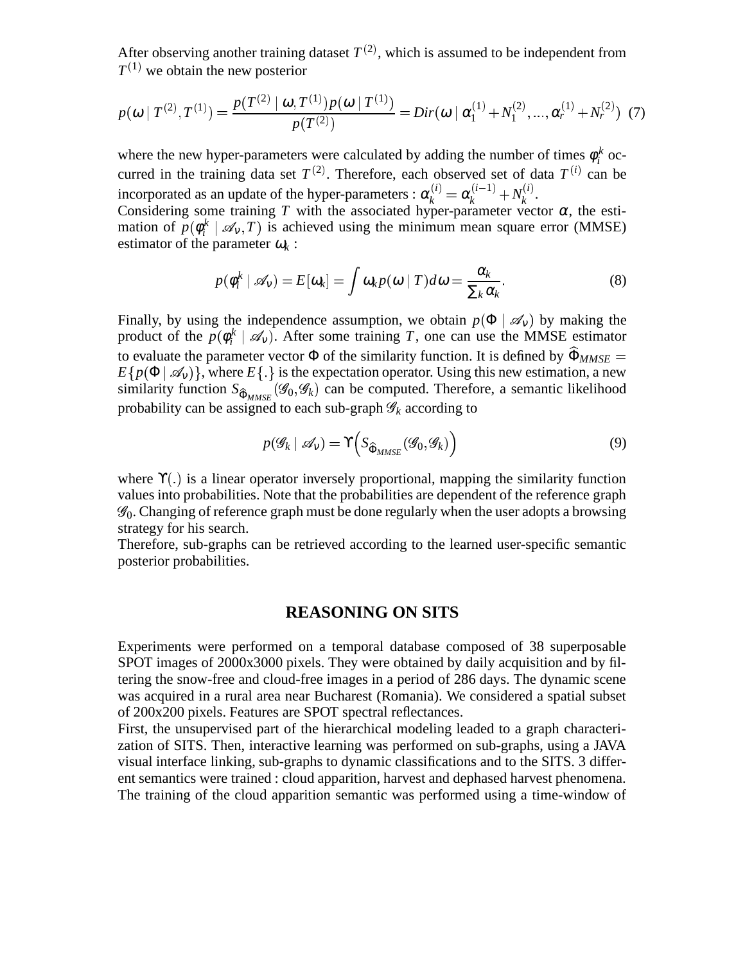After observing another training dataset  $T^{(2)}$ , which is assumed to be independent from  $T^{(1)}$  we obtain the new posterior

$$
p(\boldsymbol{\omega} \mid T^{(2)}, T^{(1)}) = \frac{p(T^{(2)} \mid \boldsymbol{\omega}, T^{(1)})p(\boldsymbol{\omega} \mid T^{(1)})}{p(T^{(2)})} = Dir(\boldsymbol{\omega} \mid \boldsymbol{\alpha}_1^{(1)} + N_1^{(2)}, ..., \boldsymbol{\alpha}_r^{(1)} + N_r^{(2)}) \tag{7}
$$

where the new hyper-parameters were calculated by adding the number of times  $\phi_i^k$  occurred in the training data set  $T^{(2)}$ . Therefore, each observed set of data  $T^{(i)}$  can be incorporated as an update of the hyper-parameters :  $\alpha_k^{(i)} = \alpha_k^{(i-1)} + N_k^{(i)}$ . *k* .

Considering some training *T* with the associated hyper-parameter vector  $\alpha$ , the estimation of  $p(\phi_i^k | \mathcal{A}_v, T)$  is achieved using the minimum mean square error (MMSE) estimator of the parameter  $\omega_k$ :

$$
p(\phi_i^k \mid \mathscr{A}_v) = E[\omega_k] = \int \omega_k p(\omega \mid T) d\omega = \frac{\alpha_k}{\sum_k \alpha_k}.
$$
 (8)

Finally, by using the independence assumption, we obtain  $p(\Phi | \mathcal{A}_v)$  by making the product of the  $p(\phi_i^k \mid \mathcal{A}_v)$ . After some training *T*, one can use the MMSE estimator to evaluate the parameter vector  $\Phi$  of the similarity function. It is defined by  $\Phi_{MMSE}$  =  $E\{p(\Phi | \mathcal{A}_v)\}\,$  where  $E\{\}$  is the expectation operator. Using this new estimation, a new similarity function  $S_{\widehat{\Phi}_{MMSE}}(\mathscr{G}_0, \mathscr{G}_k)$  can be computed. Therefore, a semantic likelihood probability can be assigned to each sub-graph  $\mathscr{G}_k$  according to

$$
p(\mathcal{G}_k \mid \mathcal{A}_v) = \Upsilon \Big( S_{\widehat{\Phi}_{MMSE}}(\mathcal{G}_0, \mathcal{G}_k) \Big) \tag{9}
$$

where  $\Upsilon(.)$  is a linear operator inversely proportional, mapping the similarity function values into probabilities. Note that the probabilities are dependent of the reference graph  $\mathscr{G}_0$ . Changing of reference graph must be done regularly when the user adopts a browsing strategy for his search.

Therefore, sub-graphs can be retrieved according to the learned user-specific semantic posterior probabilities.

## **REASONING ON SITS**

Experiments were performed on a temporal database composed of 38 superposable SPOT images of 2000x3000 pixels. They were obtained by daily acquisition and by filtering the snow-free and cloud-free images in a period of 286 days. The dynamic scene was acquired in a rural area near Bucharest (Romania). We considered a spatial subset of 200x200 pixels. Features are SPOT spectral reflectances.

First, the unsupervised part of the hierarchical modeling leaded to a graph characterization of SITS. Then, interactive learning was performed on sub-graphs, using a JAVA visual interface linking, sub-graphs to dynamic classifications and to the SITS. 3 different semantics were trained : cloud apparition, harvest and dephased harvest phenomena. The training of the cloud apparition semantic was performed using a time-window of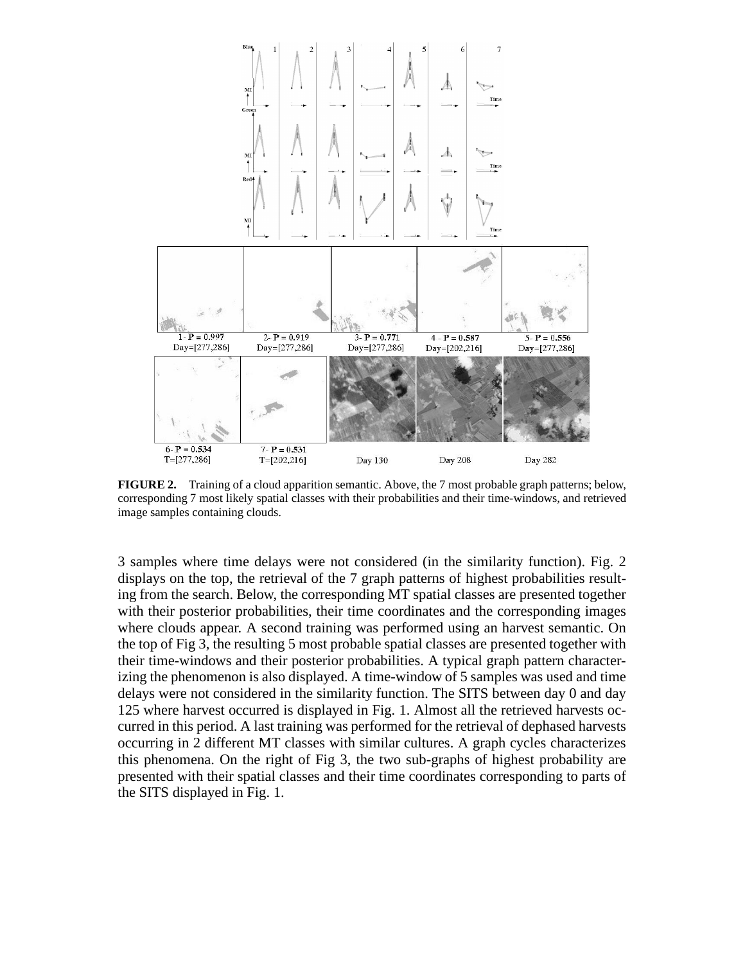

**FIGURE 2.** Training of a cloud apparition semantic. Above, the 7 most probable graph patterns; below, corresponding 7 most likely spatial classes with their probabilities and their time-windows, and retrieved image samples containing clouds.

3 samples where time delays were not considered (in the similarity function). Fig. 2 displays on the top, the retrieval of the 7 graph patterns of highest probabilities resulting from the search. Below, the corresponding MT spatial classes are presented together with their posterior probabilities, their time coordinates and the corresponding images where clouds appear. A second training was performed using an harvest semantic. On the top of Fig 3, the resulting 5 most probable spatial classes are presented together with their time-windows and their posterior probabilities. A typical graph pattern characterizing the phenomenon is also displayed. A time-window of 5 samples was used and time delays were not considered in the similarity function. The SITS between day 0 and day 125 where harvest occurred is displayed in Fig. 1. Almost all the retrieved harvests occurred in this period. A last training was performed for the retrieval of dephased harvests occurring in 2 different MT classes with similar cultures. A graph cycles characterizes this phenomena. On the right of Fig 3, the two sub-graphs of highest probability are presented with their spatial classes and their time coordinates corresponding to parts of the SITS displayed in Fig. 1.